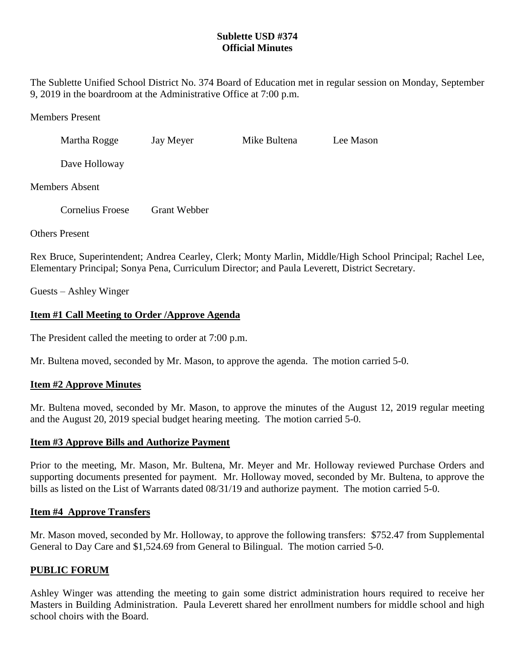# **Sublette USD #374 Official Minutes**

The Sublette Unified School District No. 374 Board of Education met in regular session on Monday, September 9, 2019 in the boardroom at the Administrative Office at 7:00 p.m.

Members Present

Martha Rogge Jay Meyer Mike Bultena Lee Mason

Dave Holloway

Members Absent

Cornelius Froese Grant Webber

Others Present

Rex Bruce, Superintendent; Andrea Cearley, Clerk; Monty Marlin, Middle/High School Principal; Rachel Lee, Elementary Principal; Sonya Pena, Curriculum Director; and Paula Leverett, District Secretary.

Guests – Ashley Winger

# **Item #1 Call Meeting to Order /Approve Agenda**

The President called the meeting to order at 7:00 p.m.

Mr. Bultena moved, seconded by Mr. Mason, to approve the agenda. The motion carried 5-0.

# **Item #2 Approve Minutes**

Mr. Bultena moved, seconded by Mr. Mason, to approve the minutes of the August 12, 2019 regular meeting and the August 20, 2019 special budget hearing meeting. The motion carried 5-0.

### **Item #3 Approve Bills and Authorize Payment**

Prior to the meeting, Mr. Mason, Mr. Bultena, Mr. Meyer and Mr. Holloway reviewed Purchase Orders and supporting documents presented for payment. Mr. Holloway moved, seconded by Mr. Bultena, to approve the bills as listed on the List of Warrants dated 08/31/19 and authorize payment. The motion carried 5-0.

### **Item #4 Approve Transfers**

Mr. Mason moved, seconded by Mr. Holloway, to approve the following transfers: \$752.47 from Supplemental General to Day Care and \$1,524.69 from General to Bilingual. The motion carried 5-0.

### **PUBLIC FORUM**

Ashley Winger was attending the meeting to gain some district administration hours required to receive her Masters in Building Administration. Paula Leverett shared her enrollment numbers for middle school and high school choirs with the Board.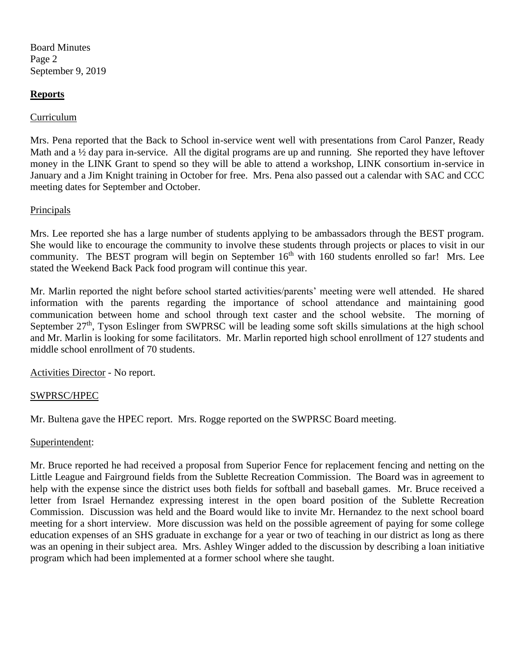Board Minutes Page 2 September 9, 2019

## **Reports**

## Curriculum

Mrs. Pena reported that the Back to School in-service went well with presentations from Carol Panzer, Ready Math and a <sup>1</sup>/<sub>2</sub> day para in-service. All the digital programs are up and running. She reported they have leftover money in the LINK Grant to spend so they will be able to attend a workshop, LINK consortium in-service in January and a Jim Knight training in October for free. Mrs. Pena also passed out a calendar with SAC and CCC meeting dates for September and October.

## Principals

Mrs. Lee reported she has a large number of students applying to be ambassadors through the BEST program. She would like to encourage the community to involve these students through projects or places to visit in our community. The BEST program will begin on September  $16<sup>th</sup>$  with 160 students enrolled so far! Mrs. Lee stated the Weekend Back Pack food program will continue this year.

Mr. Marlin reported the night before school started activities/parents' meeting were well attended. He shared information with the parents regarding the importance of school attendance and maintaining good communication between home and school through text caster and the school website. The morning of September 27<sup>th</sup>, Tyson Eslinger from SWPRSC will be leading some soft skills simulations at the high school and Mr. Marlin is looking for some facilitators. Mr. Marlin reported high school enrollment of 127 students and middle school enrollment of 70 students.

Activities Director - No report.

# SWPRSC/HPEC

Mr. Bultena gave the HPEC report. Mrs. Rogge reported on the SWPRSC Board meeting.

### Superintendent:

Mr. Bruce reported he had received a proposal from Superior Fence for replacement fencing and netting on the Little League and Fairground fields from the Sublette Recreation Commission. The Board was in agreement to help with the expense since the district uses both fields for softball and baseball games. Mr. Bruce received a letter from Israel Hernandez expressing interest in the open board position of the Sublette Recreation Commission. Discussion was held and the Board would like to invite Mr. Hernandez to the next school board meeting for a short interview. More discussion was held on the possible agreement of paying for some college education expenses of an SHS graduate in exchange for a year or two of teaching in our district as long as there was an opening in their subject area. Mrs. Ashley Winger added to the discussion by describing a loan initiative program which had been implemented at a former school where she taught.